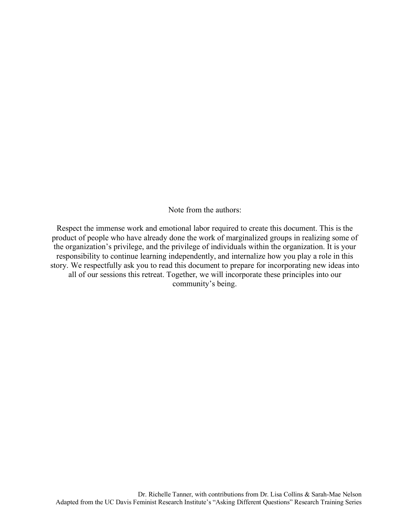Note from the authors:

Respect the immense work and emotional labor required to create this document. This is the product of people who have already done the work of marginalized groups in realizing some of the organization's privilege, and the privilege of individuals within the organization. It is your responsibility to continue learning independently, and internalize how you play a role in this story. We respectfully ask you to read this document to prepare for incorporating new ideas into all of our sessions this retreat. Together, we will incorporate these principles into our community's being.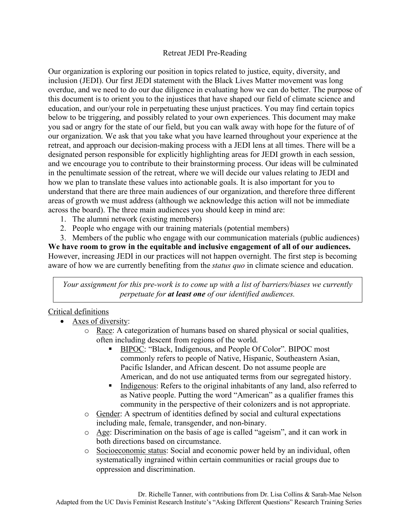# Retreat JEDI Pre-Reading

Our organization is exploring our position in topics related to justice, equity, diversity, and inclusion (JEDI). Our first JEDI statement with the Black Lives Matter movement was long overdue, and we need to do our due diligence in evaluating how we can do better. The purpose of this document is to orient you to the injustices that have shaped our field of climate science and education, and our/your role in perpetuating these unjust practices. You may find certain topics below to be triggering, and possibly related to your own experiences. This document may make you sad or angry for the state of our field, but you can walk away with hope for the future of of our organization. We ask that you take what you have learned throughout your experience at the retreat, and approach our decision-making process with a JEDI lens at all times. There will be a designated person responsible for explicitly highlighting areas for JEDI growth in each session, and we encourage you to contribute to their brainstorming process. Our ideas will be culminated in the penultimate session of the retreat, where we will decide our values relating to JEDI and how we plan to translate these values into actionable goals. It is also important for you to understand that there are three main audiences of our organization, and therefore three different areas of growth we must address (although we acknowledge this action will not be immediate across the board). The three main audiences you should keep in mind are:

- 1. The alumni network (existing members)
- 2. People who engage with our training materials (potential members)

3. Members of the public who engage with our communication materials (public audiences) **We have room to grow in the equitable and inclusive engagement of all of our audiences.**

However, increasing JEDI in our practices will not happen overnight. The first step is becoming aware of how we are currently benefiting from the *status quo* in climate science and education.

*Your assignment for this pre-work is to come up with a list of barriers/biases we currently perpetuate for at least one of our identified audiences.*

# Critical definitions

- Axes of diversity:
	- o Race: A categorization of humans based on shared physical or social qualities, often including descent from regions of the world.
		- § BIPOC: "Black, Indigenous, and People Of Color". BIPOC most commonly refers to people of Native, Hispanic, Southeastern Asian, Pacific Islander, and African descent. Do not assume people are American, and do not use antiquated terms from our segregated history.
		- Indigenous: Refers to the original inhabitants of any land, also referred to as Native people. Putting the word "American" as a qualifier frames this community in the perspective of their colonizers and is not appropriate.
	- o Gender: A spectrum of identities defined by social and cultural expectations including male, female, transgender, and non-binary.
	- o Age: Discrimination on the basis of age is called "ageism", and it can work in both directions based on circumstance.
	- o Socioeconomic status: Social and economic power held by an individual, often systematically ingrained within certain communities or racial groups due to oppression and discrimination.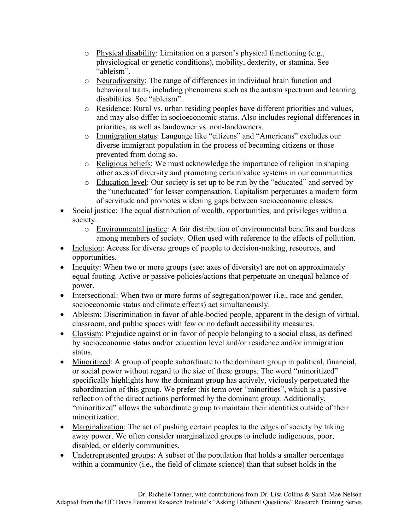- o Physical disability: Limitation on a person's physical functioning (e.g., physiological or genetic conditions), mobility, dexterity, or stamina. See "ableism".
- o Neurodiversity: The range of differences in individual brain function and behavioral traits, including phenomena such as the autism spectrum and learning disabilities. See "ableism".
- o Residence: Rural vs. urban residing peoples have different priorities and values, and may also differ in socioeconomic status. Also includes regional differences in priorities, as well as landowner vs. non-landowners.
- o Immigration status: Language like "citizens" and "Americans" excludes our diverse immigrant population in the process of becoming citizens or those prevented from doing so.
- o Religious beliefs: We must acknowledge the importance of religion in shaping other axes of diversity and promoting certain value systems in our communities.
- o Education level: Our society is set up to be run by the "educated" and served by the "uneducated" for lesser compensation. Capitalism perpetuates a modern form of servitude and promotes widening gaps between socioeconomic classes.
- Social justice: The equal distribution of wealth, opportunities, and privileges within a society.
	- o Environmental justice: A fair distribution of environmental benefits and burdens among members of society. Often used with reference to the effects of pollution.
- Inclusion: Access for diverse groups of people to decision-making, resources, and opportunities.
- Inequity: When two or more groups (see: axes of diversity) are not on approximately equal footing. Active or passive policies/actions that perpetuate an unequal balance of power.
- Intersectional: When two or more forms of segregation/power (i.e., race and gender, socioeconomic status and climate effects) act simultaneously.
- Ableism: Discrimination in favor of able-bodied people, apparent in the design of virtual, classroom, and public spaces with few or no default accessibility measures.
- Classism: Prejudice against or in favor of people belonging to a social class, as defined by socioeconomic status and/or education level and/or residence and/or immigration status.
- Minoritized: A group of people subordinate to the dominant group in political, financial, or social power without regard to the size of these groups. The word "minoritized" specifically highlights how the dominant group has actively, viciously perpetuated the subordination of this group. We prefer this term over "minorities", which is a passive reflection of the direct actions performed by the dominant group. Additionally, "minoritized" allows the subordinate group to maintain their identities outside of their minoritization.
- Marginalization: The act of pushing certain peoples to the edges of society by taking away power. We often consider marginalized groups to include indigenous, poor, disabled, or elderly communities.
- Underrepresented groups: A subset of the population that holds a smaller percentage within a community (i.e., the field of climate science) than that subset holds in the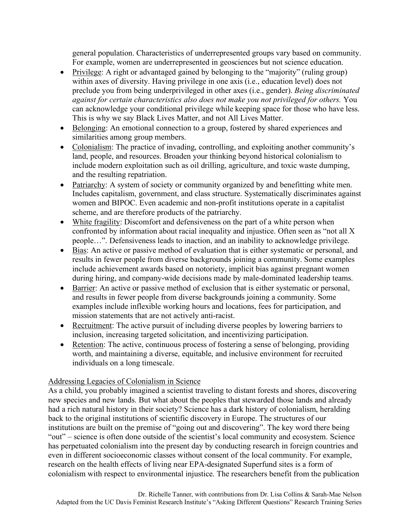general population. Characteristics of underrepresented groups vary based on community. For example, women are underrepresented in geosciences but not science education.

- Privilege: A right or advantaged gained by belonging to the "majority" (ruling group) within axes of diversity. Having privilege in one axis (i.e., education level) does not preclude you from being underprivileged in other axes (i.e., gender). *Being discriminated against for certain characteristics also does not make you not privileged for others.* You can acknowledge your conditional privilege while keeping space for those who have less. This is why we say Black Lives Matter, and not All Lives Matter.
- Belonging: An emotional connection to a group, fostered by shared experiences and similarities among group members.
- Colonialism: The practice of invading, controlling, and exploiting another community's land, people, and resources. Broaden your thinking beyond historical colonialism to include modern exploitation such as oil drilling, agriculture, and toxic waste dumping, and the resulting repatriation.
- Patriarchy: A system of society or community organized by and benefitting white men. Includes capitalism, government, and class structure. Systematically discriminates against women and BIPOC. Even academic and non-profit institutions operate in a capitalist scheme, and are therefore products of the patriarchy.
- White fragility: Discomfort and defensiveness on the part of a white person when confronted by information about racial inequality and injustice. Often seen as "not all X people…". Defensiveness leads to inaction, and an inability to acknowledge privilege.
- Bias: An active or passive method of evaluation that is either systematic or personal, and results in fewer people from diverse backgrounds joining a community. Some examples include achievement awards based on notoriety, implicit bias against pregnant women during hiring, and company-wide decisions made by male-dominated leadership teams.
- Barrier: An active or passive method of exclusion that is either systematic or personal, and results in fewer people from diverse backgrounds joining a community. Some examples include inflexible working hours and locations, fees for participation, and mission statements that are not actively anti-racist.
- Recruitment: The active pursuit of including diverse peoples by lowering barriers to inclusion, increasing targeted solicitation, and incentivizing participation.
- Retention: The active, continuous process of fostering a sense of belonging, providing worth, and maintaining a diverse, equitable, and inclusive environment for recruited individuals on a long timescale.

# Addressing Legacies of Colonialism in Science

As a child, you probably imagined a scientist traveling to distant forests and shores, discovering new species and new lands. But what about the peoples that stewarded those lands and already had a rich natural history in their society? Science has a dark history of colonialism, heralding back to the original institutions of scientific discovery in Europe. The structures of our institutions are built on the premise of "going out and discovering". The key word there being "out" – science is often done outside of the scientist's local community and ecosystem. Science has perpetuated colonialism into the present day by conducting research in foreign countries and even in different socioeconomic classes without consent of the local community. For example, research on the health effects of living near EPA-designated Superfund sites is a form of colonialism with respect to environmental injustice. The researchers benefit from the publication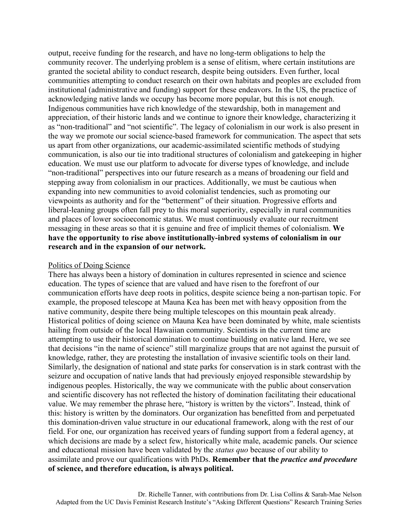output, receive funding for the research, and have no long-term obligations to help the community recover. The underlying problem is a sense of elitism, where certain institutions are granted the societal ability to conduct research, despite being outsiders. Even further, local communities attempting to conduct research on their own habitats and peoples are excluded from institutional (administrative and funding) support for these endeavors. In the US, the practice of acknowledging native lands we occupy has become more popular, but this is not enough. Indigenous communities have rich knowledge of the stewardship, both in management and appreciation, of their historic lands and we continue to ignore their knowledge, characterizing it as "non-traditional" and "not scientific". The legacy of colonialism in our work is also present in the way we promote our social science-based framework for communication. The aspect that sets us apart from other organizations, our academic-assimilated scientific methods of studying communication, is also our tie into traditional structures of colonialism and gatekeeping in higher education. We must use our platform to advocate for diverse types of knowledge, and include "non-traditional" perspectives into our future research as a means of broadening our field and stepping away from colonialism in our practices. Additionally, we must be cautious when expanding into new communities to avoid colonialist tendencies, such as promoting our viewpoints as authority and for the "betterment" of their situation. Progressive efforts and liberal-leaning groups often fall prey to this moral superiority, especially in rural communities and places of lower socioeconomic status. We must continuously evaluate our recruitment messaging in these areas so that it is genuine and free of implicit themes of colonialism. **We have the opportunity to rise above institutionally-inbred systems of colonialism in our research and in the expansion of our network.**

#### Politics of Doing Science

There has always been a history of domination in cultures represented in science and science education. The types of science that are valued and have risen to the forefront of our communication efforts have deep roots in politics, despite science being a non-partisan topic. For example, the proposed telescope at Mauna Kea has been met with heavy opposition from the native community, despite there being multiple telescopes on this mountain peak already. Historical politics of doing science on Mauna Kea have been dominated by white, male scientists hailing from outside of the local Hawaiian community. Scientists in the current time are attempting to use their historical domination to continue building on native land. Here, we see that decisions "in the name of science" still marginalize groups that are not against the pursuit of knowledge, rather, they are protesting the installation of invasive scientific tools on their land. Similarly, the designation of national and state parks for conservation is in stark contrast with the seizure and occupation of native lands that had previously enjoyed responsible stewardship by indigenous peoples. Historically, the way we communicate with the public about conservation and scientific discovery has not reflected the history of domination facilitating their educational value. We may remember the phrase here, "history is written by the victors". Instead, think of this: history is written by the dominators. Our organization has benefitted from and perpetuated this domination-driven value structure in our educational framework, along with the rest of our field. For one, our organization has received years of funding support from a federal agency, at which decisions are made by a select few, historically white male, academic panels. Our science and educational mission have been validated by the *status quo* because of our ability to assimilate and prove our qualifications with PhDs. **Remember that the** *practice and procedure* **of science, and therefore education, is always political.**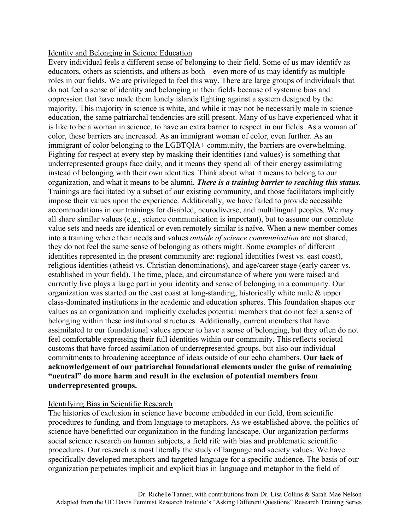### Identity and Belonging in Science Education

Every individual feels a different sense of belonging to their field. Some of us may identify as educators, others as scientists, and others as both – even more of us may identify as multiple roles in our fields. We are privileged to feel this way. There are large groups of individuals that do not feel a sense of identity and belonging in their fields because of systemic bias and oppression that have made them lonely islands fighting against a system designed by the majority. This majority in science is white, and while it may not be necessarily male in science education, the same patriarchal tendencies are still present. Many of us have experienced what it is like to be a woman in science, to have an extra barrier to respect in our fields. As a woman of color, these barriers are increased. As an immigrant woman of color, even further. As an immigrant of color belonging to the LGBTQIA+ community, the barriers are overwhelming. Fighting for respect at every step by masking their identities (and values) is something that underrepresented groups face daily, and it means they spend all of their energy assimilating instead of belonging with their own identities. Think about what it means to belong to our organization, and what it means to be alumni. *There is a training barrier to reaching this status.* Trainings are facilitated by a subset of our existing community, and those facilitators implicitly impose their values upon the experience. Additionally, we have failed to provide accessible accommodations in our trainings for disabled, neurodiverse, and multilingual peoples. We may all share similar values (e.g., science communication is important), but to assume our complete value sets and needs are identical or even remotely similar is naïve. When a new member comes into a training where their needs and values *outside of science communication* are not shared, they do not feel the same sense of belonging as others might. Some examples of different identities represented in the present community are: regional identities (west vs. east coast), religious identities (atheist vs. Christian denominations), and age/career stage (early career vs. established in your field). The time, place, and circumstance of where you were raised and currently live plays a large part in your identity and sense of belonging in a community. Our organization was started on the east coast at long-standing, historically white male & upper class-dominated institutions in the academic and education spheres. This foundation shapes our values as an organization and implicitly excludes potential members that do not feel a sense of belonging within these institutional structures. Additionally, current members that have assimilated to our foundational values appear to have a sense of belonging, but they often do not feel comfortable expressing their full identities within our community. This reflects societal customs that have forced assimilation of underrepresented groups, but also our individual commitments to broadening acceptance of ideas outside of our echo chambers. **Our lack of acknowledgement of our patriarchal foundational elements under the guise of remaining "neutral" do more harm and result in the exclusion of potential members from underrepresented groups.**

### Identifying Bias in Scientific Research

The histories of exclusion in science have become embedded in our field, from scientific procedures to funding, and from language to metaphors. As we established above, the politics of science have benefitted our organization in the funding landscape. Our organization performs social science research on human subjects, a field rife with bias and problematic scientific procedures. Our research is most literally the study of language and society values. We have specifically developed metaphors and targeted language for a specific audience. The basis of our organization perpetuates implicit and explicit bias in language and metaphor in the field of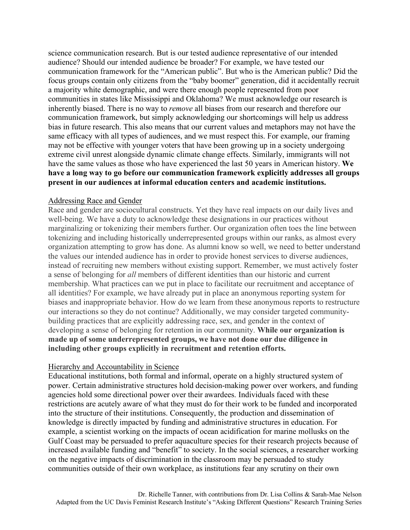science communication research. But is our tested audience representative of our intended audience? Should our intended audience be broader? For example, we have tested our communication framework for the "American public". But who is the American public? Did the focus groups contain only citizens from the "baby boomer" generation, did it accidentally recruit a majority white demographic, and were there enough people represented from poor communities in states like Mississippi and Oklahoma? We must acknowledge our research is inherently biased. There is no way to *remove* all biases from our research and therefore our communication framework, but simply acknowledging our shortcomings will help us address bias in future research. This also means that our current values and metaphors may not have the same efficacy with all types of audiences, and we must respect this. For example, our framing may not be effective with younger voters that have been growing up in a society undergoing extreme civil unrest alongside dynamic climate change effects. Similarly, immigrants will not have the same values as those who have experienced the last 50 years in American history. **We have a long way to go before our communication framework explicitly addresses all groups present in our audiences at informal education centers and academic institutions.**

### Addressing Race and Gender

Race and gender are sociocultural constructs. Yet they have real impacts on our daily lives and well-being. We have a duty to acknowledge these designations in our practices without marginalizing or tokenizing their members further. Our organization often toes the line between tokenizing and including historically underrepresented groups within our ranks, as almost every organization attempting to grow has done. As alumni know so well, we need to better understand the values our intended audience has in order to provide honest services to diverse audiences, instead of recruiting new members without existing support. Remember, we must actively foster a sense of belonging for *all* members of different identities than our historic and current membership. What practices can we put in place to facilitate our recruitment and acceptance of all identities? For example, we have already put in place an anonymous reporting system for biases and inappropriate behavior. How do we learn from these anonymous reports to restructure our interactions so they do not continue? Additionally, we may consider targeted communitybuilding practices that are explicitly addressing race, sex, and gender in the context of developing a sense of belonging for retention in our community. **While our organization is made up of some underrepresented groups, we have not done our due diligence in including other groups explicitly in recruitment and retention efforts.**

#### Hierarchy and Accountability in Science

Educational institutions, both formal and informal, operate on a highly structured system of power. Certain administrative structures hold decision-making power over workers, and funding agencies hold some directional power over their awardees. Individuals faced with these restrictions are acutely aware of what they must do for their work to be funded and incorporated into the structure of their institutions. Consequently, the production and dissemination of knowledge is directly impacted by funding and administrative structures in education. For example, a scientist working on the impacts of ocean acidification for marine mollusks on the Gulf Coast may be persuaded to prefer aquaculture species for their research projects because of increased available funding and "benefit" to society. In the social sciences, a researcher working on the negative impacts of discrimination in the classroom may be persuaded to study communities outside of their own workplace, as institutions fear any scrutiny on their own